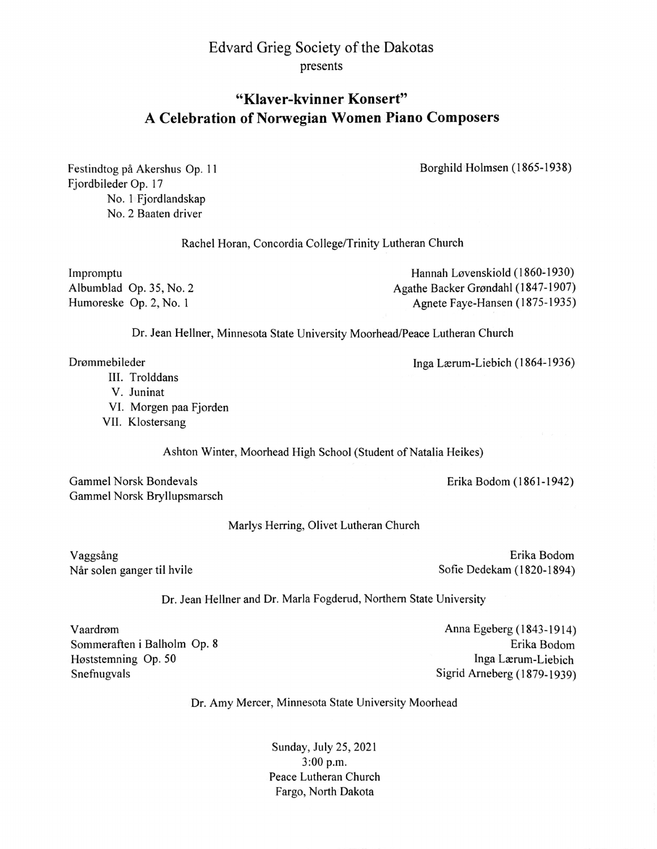## Edvard Grieg Society of the Dakotas presents

## "Klaver-kvinner Konsert" A Celebration of Norwegian Women Piano Composers

Borghild Holmsen (1865-1938)

Festindtog på Akershus Op. 11 Fjordbileder Op. 17 No. 1 Fjordlandskap No. 2 Baaten driver

Rachel Horan, Concordia College/Trinity Lutheran Church

Impromptu Albumblad Op. 35, No. 2 Humoreske Op. 2, No. I

Hannah Løvenskiold (1860-1930) Agathe Backer Grondahl (1847-1907) Agnete Faye-Hansen (1875-1935)

Dr. Jean Hellner, Minnesota State University Moorhead/Peace Lutheran Church

- III. Trolddans
- V. Juninat
- VI. Morgen paa Fjorden
- VII. Klostersang

Ashton Winter, Moorhead High School (Student of Natalia Heikes)

Gammel Norsk Bondevals Gammel Norsk Bryllupsmarsch

Marlys Herring, Olivet Lutheran Church

Vaggsâng Når solen ganger til hvile

Erika Bodom Sofie Dedekam (1820-1894)

Erika Bodom (1861-1942)

Dr. Jean Hellner and Dr. Marla Fogderud, Northern State University

Vaardrom Sommeraften i Balholm Op. 8 Hoststemning Op. 50 Snefnugvals

Anna Egeberg (1 843-1914) Erika Bodom Inga Lærum-Liebich Sigrid Arneberg (1879-1939)

Dr. Amy Mercer, Minnesota State University Moorhead

Sunday, July 25, 2021 3:00 p.m. Peace Lutheran Church Fargo, North Dakota

Drømmebileder Inga Lærum-Liebich (1864-1936)